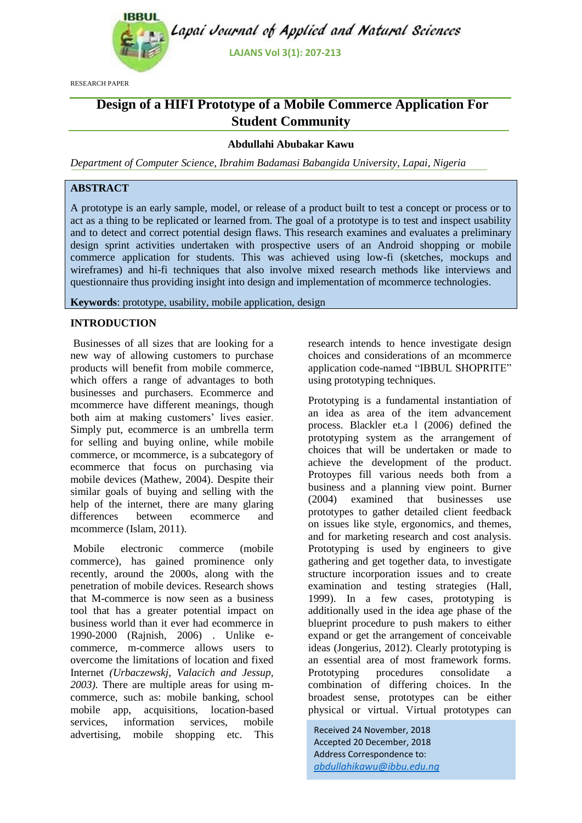

RESEARCH PAPER

# **Design of a HIFI Prototype of a Mobile Commerce Application For Student Community**

# **Abdullahi Abubakar Kawu**

*Department of Computer Science, Ibrahim Badamasi Babangida University, Lapai, Nigeria*

# **ABSTRACT**

A prototype is an early sample, model, or release of a product built to test a concept or process or to act as a thing to be replicated or learned from. The goal of a prototype is to test and inspect usability and to detect and correct potential design flaws. This research examines and evaluates a preliminary design sprint activities undertaken with prospective users of an Android shopping or mobile commerce application for students. This was achieved using low-fi (sketches, mockups and wireframes) and hi-fi techniques that also involve mixed research methods like interviews and questionnaire thus providing insight into design and implementation of mcommerce technologies.

**Keywords**: prototype, usability, mobile application, design

# **INTRODUCTION**

Businesses of all sizes that are looking for a new way of allowing customers to purchase products will benefit from mobile commerce, which offers a range of advantages to both businesses and purchasers. Ecommerce and mcommerce have different meanings, though both aim at making customers' lives easier. Simply put, ecommerce is an umbrella term for selling and buying online, while mobile commerce, or mcommerce, is a subcategory of ecommerce that focus on purchasing via mobile devices (Mathew, 2004). Despite their similar goals of buying and selling with the help of the internet, there are many glaring differences between ecommerce and mcommerce (Islam, 2011).

Mobile electronic commerce (mobile commerce), has gained prominence only recently, around the 2000s, along with the penetration of mobile devices. Research shows that M-commerce is now seen as a business tool that has a greater potential impact on business world than it ever had ecommerce in 1990-2000 (Rajnish, 2006) . Unlike ecommerce, m-commerce allows users to overcome the limitations of location and fixed Internet *(Urbaczewskj, Valacich and Jessup, 2003).* There are multiple areas for using mcommerce, such as: mobile banking, school mobile app, acquisitions, location-based<br>services, information services. mobile services, information services, mobile advertising, mobile shopping etc. This research intends to hence investigate design choices and considerations of an mcommerce application code-named "IBBUL SHOPRITE" using prototyping techniques.

Prototyping is a fundamental instantiation of an idea as area of the item advancement process. Blackler et.a l (2006) defined the prototyping system as the arrangement of choices that will be undertaken or made to achieve the development of the product. Protoypes fill various needs both from a business and a planning view point. Burner (2004) examined that businesses use prototypes to gather detailed client feedback on issues like style, ergonomics, and themes, and for marketing research and cost analysis. Prototyping is used by engineers to give gathering and get together data, to investigate structure incorporation issues and to create examination and testing strategies (Hall, 1999). In a few cases, prototyping is additionally used in the idea age phase of the blueprint procedure to push makers to either expand or get the arrangement of conceivable ideas (Jongerius, 2012). Clearly prototyping is an essential area of most framework forms. Prototyping procedures consolidate a combination of differing choices. In the broadest sense, prototypes can be either physical or virtual. Virtual prototypes can

Received 24 November, 2018 Accepted 20 December, 2018 Address Correspondence to: *abdullahikawu@ibbu.edu.ng*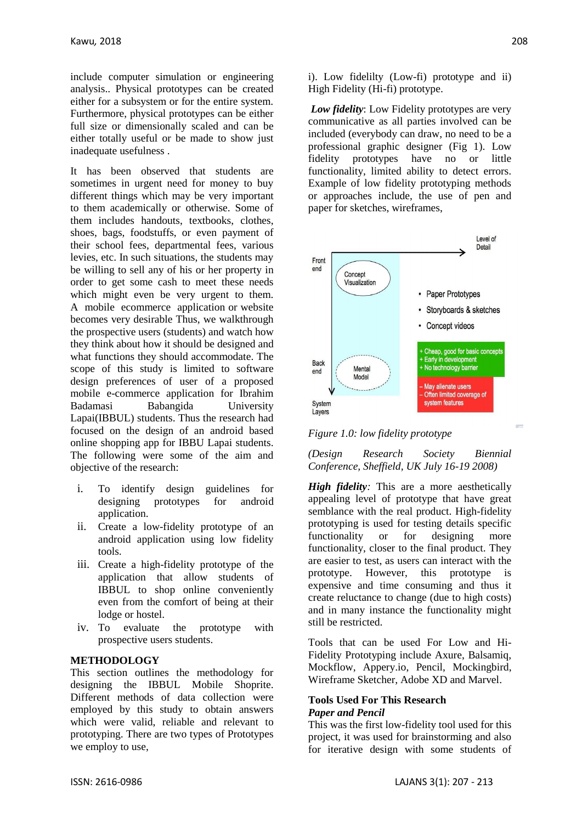include computer simulation or engineering analysis.. Physical prototypes can be created either for a subsystem or for the entire system. Furthermore, physical prototypes can be either full size or dimensionally scaled and can be either totally useful or be made to show just inadequate usefulness .

It has been observed that students are sometimes in urgent need for money to buy different things which may be very important to them academically or otherwise. Some of them includes handouts, textbooks, clothes, shoes, bags, foodstuffs, or even payment of their school fees, departmental fees, various levies, etc. In such situations, the students may be willing to sell any of his or her property in order to get some cash to meet these needs which might even be very urgent to them. A mobile ecommerce application or website becomes very desirable Thus, we walkthrough the prospective users (students) and watch how they think about how it should be designed and what functions they should accommodate. The scope of this study is limited to software design preferences of user of a proposed mobile e-commerce application for Ibrahim Badamasi Babangida University Lapai(IBBUL) students. Thus the research had focused on the design of an android based online shopping app for IBBU Lapai students. The following were some of the aim and objective of the research:

- i. To identify design guidelines for designing prototypes for android application.
- ii. Create a low-fidelity prototype of an android application using low fidelity tools.
- iii. Create a high-fidelity prototype of the application that allow students of IBBUL to shop online conveniently even from the comfort of being at their lodge or hostel.
- iv. To evaluate the prototype with prospective users students.

# **METHODOLOGY**

This section outlines the methodology for designing the IBBUL Mobile Shoprite. Different methods of data collection were employed by this study to obtain answers which were valid, reliable and relevant to prototyping. There are two types of Prototypes we employ to use,

i). Low fidelilty (Low-fi) prototype and ii) High Fidelity (Hi-fi) prototype.

*Low fidelity*: Low Fidelity prototypes are very communicative as all parties involved can be included (everybody can draw, no need to be a professional graphic designer (Fig 1). Low fidelity prototypes have no or little functionality, limited ability to detect errors. Example of low fidelity prototyping methods or approaches include, the use of pen and paper for sketches, wireframes,



*Figure 1.0: low fidelity prototype*

*(Design Research Society Biennial Conference, Sheffield, UK July 16-19 2008)*

*High fidelity:* This are a more aesthetically appealing level of prototype that have great semblance with the real product. High-fidelity prototyping is used for testing details specific functionality or for designing more functionality, closer to the final product. They are easier to test, as users can interact with the prototype. However, this prototype is expensive and time consuming and thus it create reluctance to change (due to high costs) and in many instance the functionality might still be restricted.

Tools that can be used For Low and Hi-Fidelity Prototyping include Axure, Balsamiq, Mockflow, Appery.io, Pencil, Mockingbird, Wireframe Sketcher, Adobe XD and Marvel.

### **Tools Used For This Research** *Paper and Pencil*

This was the first low-fidelity tool used for this project, it was used for brainstorming and also for iterative design with some students of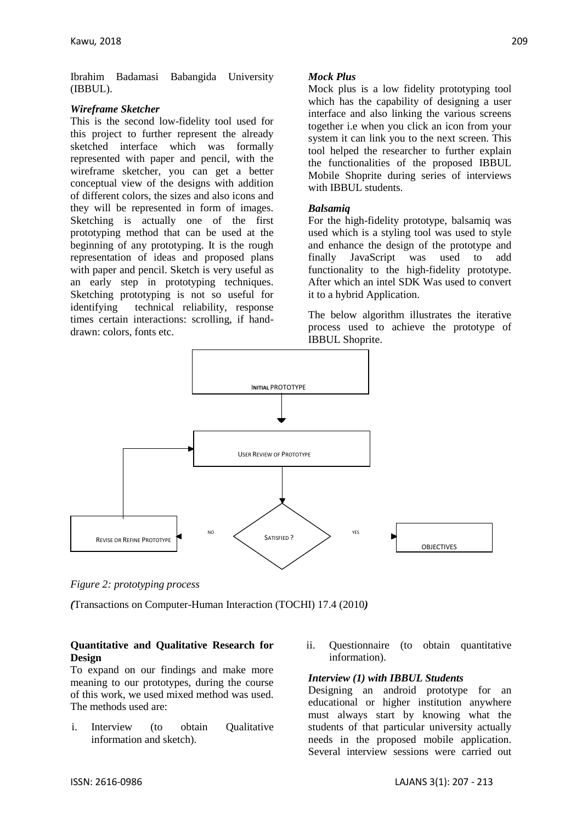Ibrahim Badamasi Babangida University (IBBUL).

# *Wireframe Sketcher*

This is the second low-fidelity tool used for this project to further represent the already sketched interface which was formally represented with paper and pencil, with the wireframe sketcher, you can get a better conceptual view of the designs with addition of different colors, the sizes and also icons and they will be represented in form of images. Sketching is actually one of the first prototyping method that can be used at the beginning of any prototyping. It is the rough representation of ideas and proposed plans with paper and pencil. Sketch is very useful as an early step in prototyping techniques. Sketching prototyping is not so useful for identifying technical reliability, response times certain interactions: scrolling, if handdrawn: colors, fonts etc.

# *Mock Plus*

Mock plus is a low fidelity prototyping tool which has the capability of designing a user interface and also linking the various screens together i.e when you click an icon from your system it can link you to the next screen. This tool helped the researcher to further explain the functionalities of the proposed IBBUL Mobile Shoprite during series of interviews with IBBUL students.

# *Balsamiq*

For the high-fidelity prototype, balsamiq was used which is a styling tool was used to style and enhance the design of the prototype and finally JavaScript was used to add functionality to the high-fidelity prototype. After which an intel SDK Was used to convert it to a hybrid Application.

The below algorithm illustrates the iterative process used to achieve the prototype of IBBUL Shoprite.



*Figure 2: prototyping process*

*(*Transactions on Computer-Human Interaction (TOCHI) 17.4 (2010*)*

# **Quantitative and Qualitative Research for Design**

To expand on our findings and make more meaning to our prototypes, during the course of this work, we used mixed method was used. The methods used are:

- i. Interview (to obtain Qualitative information and sketch).
- ii. Questionnaire (to obtain quantitative information).

# *Interview (1) with IBBUL Students*

Designing an android prototype for an educational or higher institution anywhere must always start by knowing what the students of that particular university actually needs in the proposed mobile application. Several interview sessions were carried out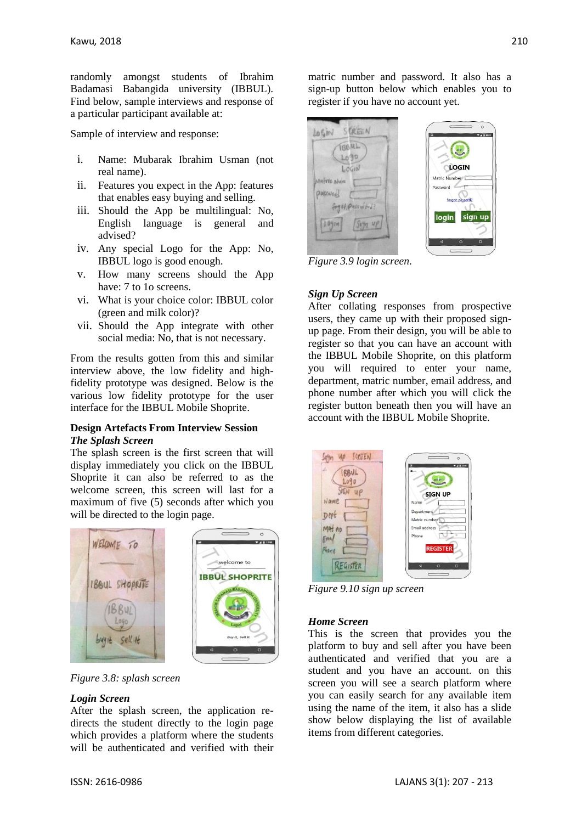randomly amongst students of Ibrahim Badamasi Babangida university (IBBUL). Find below, sample interviews and response of a particular participant available at:

Sample of interview and response:

- i. Name: Mubarak Ibrahim Usman (not real name).
- ii. Features you expect in the App: features that enables easy buying and selling.
- iii. Should the App be multilingual: No, English language is general and advised?
- iv. Any special Logo for the App: No, IBBUL logo is good enough.
- v. How many screens should the App have: 7 to 10 screens.
- vi. What is your choice color: IBBUL color (green and milk color)?
- vii. Should the App integrate with other social media: No, that is not necessary.

From the results gotten from this and similar interview above, the low fidelity and highfidelity prototype was designed. Below is the various low fidelity prototype for the user interface for the IBBUL Mobile Shoprite.

### **Design Artefacts From Interview Session** *The Splash Screen*

The splash screen is the first screen that will display immediately you click on the IBBUL Shoprite it can also be referred to as the welcome screen, this screen will last for a maximum of five (5) seconds after which you will be directed to the login page.



*Figure 3.8: splash screen*

# *Login Screen*

After the splash screen, the application redirects the student directly to the login page which provides a platform where the students will be authenticated and verified with their

matric number and password. It also has a sign-up button below which enables you to register if you have no account yet.



*Figure 3.9 login screen*.

# *Sign Up Screen*

After collating responses from prospective users, they came up with their proposed signup page. From their design, you will be able to register so that you can have an account with the IBBUL Mobile Shoprite, on this platform you will required to enter your name, department, matric number, email address, and phone number after which you will click the register button beneath then you will have an account with the IBBUL Mobile Shoprite.



*Figure 9.10 sign up screen*

#### *Home Screen*

This is the screen that provides you the platform to buy and sell after you have been authenticated and verified that you are a student and you have an account. on this screen you will see a search platform where you can easily search for any available item using the name of the item, it also has a slide show below displaying the list of available items from different categories.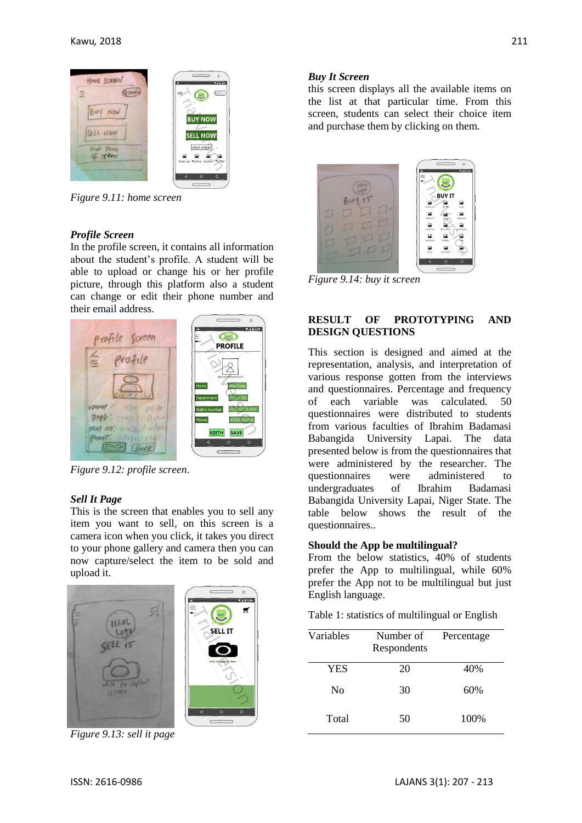

*Figure 9.11: home screen*

# *Profile Screen*

In the profile screen, it contains all information about the student's profile. A student will be able to upload or change his or her profile picture, through this platform also a student can change or edit their phone number and their email address.



*Figure 9.12: profile screen*.

#### *Sell It Page*

This is the screen that enables you to sell any item you want to sell, on this screen is a camera icon when you click, it takes you direct to your phone gallery and camera then you can now capture/select the item to be sold and upload it.



*Figure 9.13: sell it page*

### *Buy It Screen*

this screen displays all the available items on the list at that particular time. From this screen, students can select their choice item and purchase them by clicking on them.



*Figure 9.14: buy it screen*

# **RESULT OF PROTOTYPING AND DESIGN QUESTIONS**

This section is designed and aimed at the representation, analysis, and interpretation of various response gotten from the interviews and questionnaires. Percentage and frequency of each variable was calculated. 50 questionnaires were distributed to students from various faculties of Ibrahim Badamasi Babangida University Lapai. The data presented below is from the questionnaires that were administered by the researcher. The questionnaires were administered to undergraduates of Ibrahim Badamasi Babangida University Lapai, Niger State. The table below shows the result of the questionnaires..

#### **Should the App be multilingual?**

From the below statistics, 40% of students prefer the App to multilingual, while 60% prefer the App not to be multilingual but just English language.

Table 1: statistics of multilingual or English

| Variables      | Number of<br>Respondents | Percentage |
|----------------|--------------------------|------------|
| <b>YES</b>     | 20                       | 40%        |
| N <sub>0</sub> | 30                       | 60%        |
| Total          | 50                       | 100\%      |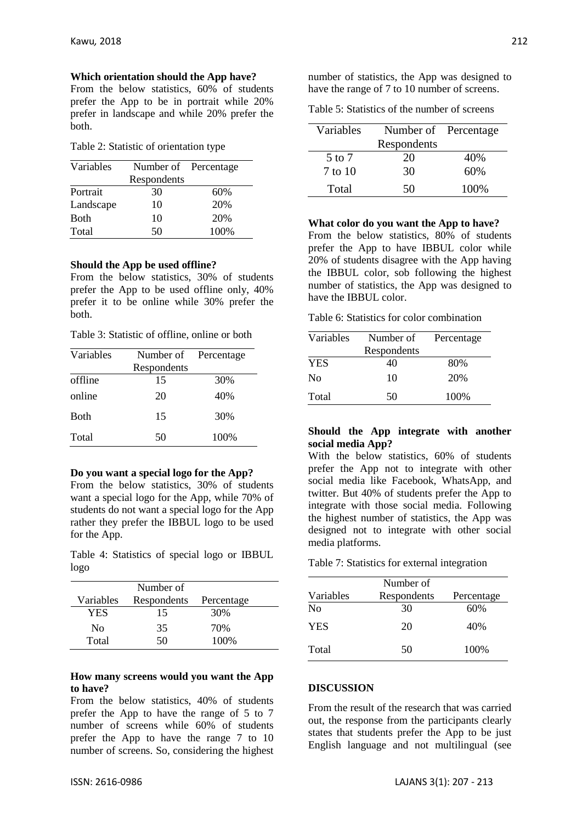**Which orientation should the App have?**

From the below statistics, 60% of students prefer the App to be in portrait while 20% prefer in landscape and while 20% prefer the both.

| Table 2: Statistic of orientation type |  |  |  |
|----------------------------------------|--|--|--|
|----------------------------------------|--|--|--|

| Variables   | Number of Percentage |      |
|-------------|----------------------|------|
|             | Respondents          |      |
| Portrait    | 30                   | 60%  |
| Landscape   | 10                   | 20%  |
| <b>Both</b> | 10                   | 20%  |
| Total       | 50                   | 100% |

#### **Should the App be used offline?**

From the below statistics, 30% of students prefer the App to be used offline only, 40% prefer it to be online while 30% prefer the both.

|  |  | Table 3: Statistic of offline, online or both |  |  |  |  |  |
|--|--|-----------------------------------------------|--|--|--|--|--|
|--|--|-----------------------------------------------|--|--|--|--|--|

| Variables   | Number of   | Percentage |
|-------------|-------------|------------|
|             | Respondents |            |
| offline     | 15          | 30%        |
| online      | 20          | 40%        |
| <b>Both</b> | 15          | 30%        |
| Total       | 50          | 100%       |

#### **Do you want a special logo for the App?**

From the below statistics, 30% of students want a special logo for the App, while 70% of students do not want a special logo for the App rather they prefer the IBBUL logo to be used for the App.

Table 4: Statistics of special logo or IBBUL logo

|           | Number of   |            |  |
|-----------|-------------|------------|--|
| Variables | Respondents | Percentage |  |
| YES       | 15          | 30%        |  |
| Nο        | 35          | 70%        |  |
| Total     | 50          | 100%       |  |

#### **How many screens would you want the App to have?**

From the below statistics, 40% of students prefer the App to have the range of 5 to 7 number of screens while 60% of students prefer the App to have the range 7 to 10 number of screens. So, considering the highest

| Table 5: Statistics of the number of screens |  |  |  |
|----------------------------------------------|--|--|--|
|----------------------------------------------|--|--|--|

| Variables | Number of Percentage |       |
|-----------|----------------------|-------|
|           | Respondents          |       |
| 5 to 7    | 20                   | 40%   |
| 7 to 10   | 30                   | 60%   |
| Total     | 50                   | 100\% |

**What color do you want the App to have?**

From the below statistics, 80% of students prefer the App to have IBBUL color while 20% of students disagree with the App having the IBBUL color, sob following the highest number of statistics, the App was designed to have the IBBUL color.

Table 6: Statistics for color combination

| Variables      | Number of   | Percentage |
|----------------|-------------|------------|
|                | Respondents |            |
| <b>YES</b>     | 40          | 80%        |
| N <sub>0</sub> | 10          | 20%        |
| Total          | 50          | 100%       |

#### **Should the App integrate with another social media App?**

With the below statistics, 60% of students prefer the App not to integrate with other social media like Facebook, WhatsApp, and twitter. But 40% of students prefer the App to integrate with those social media. Following the highest number of statistics, the App was designed not to integrate with other social media platforms.

Table 7: Statistics for external integration

| Number of      |             |            |  |  |
|----------------|-------------|------------|--|--|
| Variables      | Respondents | Percentage |  |  |
| N <sub>0</sub> | 30          | 60%        |  |  |
| <b>YES</b>     | 20          | 40%        |  |  |
| Total          | 50          | 100%       |  |  |

#### **DISCUSSION**

From the result of the research that was carried out, the response from the participants clearly states that students prefer the App to be just English language and not multilingual (see